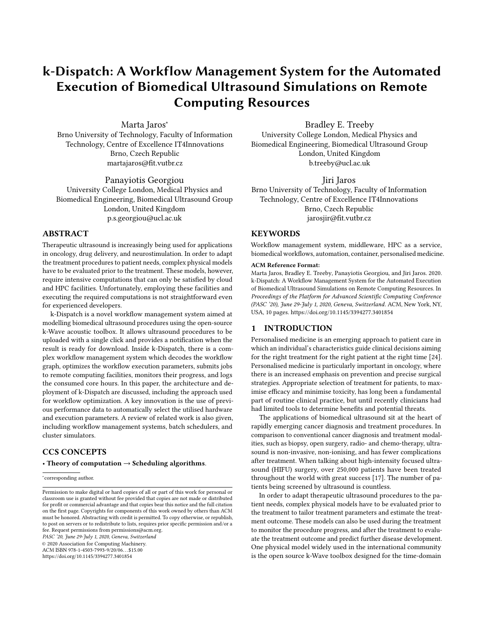# k-Dispatch: A Workflow Management System for the Automated Execution of Biomedical Ultrasound Simulations on Remote Computing Resources

Marta Jaros<sup>\*</sup>

Brno University of Technology, Faculty of Information Technology, Centre of Excellence IT4Innovations Brno, Czech Republic martajaros@fit.vutbr.cz

Panayiotis Georgiou University College London, Medical Physics and Biomedical Engineering, Biomedical Ultrasound Group London, United Kingdom p.s.georgiou@ucl.ac.uk

# ABSTRACT

Therapeutic ultrasound is increasingly being used for applications in oncology, drug delivery, and neurostimulation. In order to adapt the treatment procedures to patient needs, complex physical models have to be evaluated prior to the treatment. These models, however, require intensive computations that can only be satisfied by cloud and HPC facilities. Unfortunately, employing these facilities and executing the required computations is not straightforward even for experienced developers.

k-Dispatch is a novel workflow management system aimed at modelling biomedical ultrasound procedures using the open-source k-Wave acoustic toolbox. It allows ultrasound procedures to be uploaded with a single click and provides a notification when the result is ready for download. Inside k-Dispatch, there is a complex workflow management system which decodes the workflow graph, optimizes the workflow execution parameters, submits jobs to remote computing facilities, monitors their progress, and logs the consumed core hours. In this paper, the architecture and deployment of k-Dispatch are discussed, including the approach used for workflow optimization. A key innovation is the use of previous performance data to automatically select the utilised hardware and execution parameters. A review of related work is also given, including workflow management systems, batch schedulers, and cluster simulators.

# CCS CONCEPTS

• Theory of computation  $\rightarrow$  Scheduling algorithms.

∗ corresponding author.

PASC '20, June 29-July 1, 2020, Geneva, Switzerland

© 2020 Association for Computing Machinery.

ACM ISBN 978-1-4503-7993-9/20/06. . . \$15.00 <https://doi.org/10.1145/3394277.3401854>

Bradley E. Treeby University College London, Medical Physics and Biomedical Engineering, Biomedical Ultrasound Group London, United Kingdom

b.treeby@ucl.ac.uk

Jiri Jaros Brno University of Technology, Faculty of Information Technology, Centre of Excellence IT4Innovations Brno, Czech Republic jarosjir@fit.vutbr.cz

# **KEYWORDS**

Workflow management system, middleware, HPC as a service, biomedical workflows, automation, container, personalised medicine.

#### ACM Reference Format:

Marta Jaros, Bradley E. Treeby, Panayiotis Georgiou, and Jiri Jaros. 2020. k-Dispatch: A Workflow Management System for the Automated Execution of Biomedical Ultrasound Simulations on Remote Computing Resources. In Proceedings of the Platform for Advanced Scientific Computing Conference (PASC '20), June 29-July 1, 2020, Geneva, Switzerland. ACM, New York, NY, USA, [10](#page-9-0) pages.<https://doi.org/10.1145/3394277.3401854>

#### 1 INTRODUCTION

Personalised medicine is an emerging approach to patient care in which an individual's characteristics guide clinical decisions aiming for the right treatment for the right patient at the right time [\[24\]](#page-9-1). Personalised medicine is particularly important in oncology, where there is an increased emphasis on prevention and precise surgical strategies. Appropriate selection of treatment for patients, to maximise efficacy and minimise toxicity, has long been a fundamental part of routine clinical practice, but until recently clinicians had had limited tools to determine benefits and potential threats.

The applications of biomedical ultrasound sit at the heart of rapidly emerging cancer diagnosis and treatment procedures. In comparison to conventional cancer diagnosis and treatment modalities, such as biopsy, open surgery, radio- and chemo-therapy, ultrasound is non-invasive, non-ionising, and has fewer complications after treatment. When talking about high-intensity focused ultrasound (HIFU) surgery, over 250,000 patients have been treated throughout the world with great success [\[17\]](#page-9-2). The number of patients being screened by ultrasound is countless.

In order to adapt therapeutic ultrasound procedures to the patient needs, complex physical models have to be evaluated prior to the treatment to tailor treatment parameters and estimate the treatment outcome. These models can also be used during the treatment to monitor the procedure progress, and after the treatment to evaluate the treatment outcome and predict further disease development. One physical model widely used in the international community is the open source k-Wave toolbox designed for the time-domain

Permission to make digital or hard copies of all or part of this work for personal or classroom use is granted without fee provided that copies are not made or distributed for profit or commercial advantage and that copies bear this notice and the full citation on the first page. Copyrights for components of this work owned by others than ACM must be honored. Abstracting with credit is permitted. To copy otherwise, or republish, to post on servers or to redistribute to lists, requires prior specific permission and/or a fee. Request permissions from permissions@acm.org.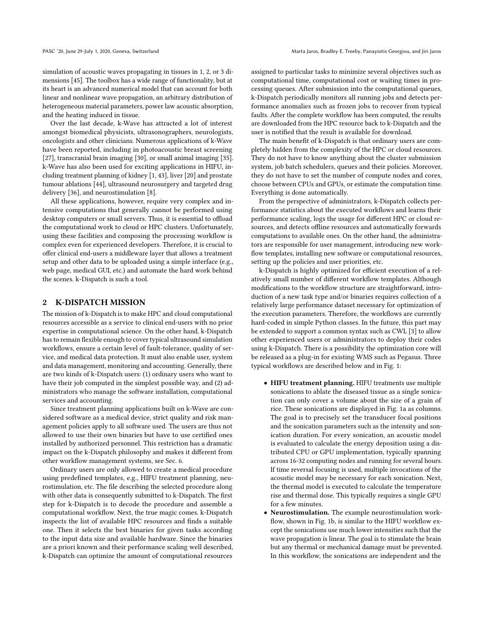simulation of acoustic waves propagating in tissues in 1, 2, or 3 dimensions [\[45\]](#page-9-3). The toolbox has a wide range of functionality, but at its heart is an advanced numerical model that can account for both linear and nonlinear wave propagation, an arbitrary distribution of heterogeneous material parameters, power law acoustic absorption, and the heating induced in tissue.

Over the last decade, k-Wave has attracted a lot of interest amongst biomedical physicists, ultrasonographers, neurologists, oncologists and other clinicians. Numerous applications of k-Wave have been reported, including in photoacoustic breast screening [\[27\]](#page-9-4), transcranial brain imaging [\[30\]](#page-9-5), or small animal imaging [\[35\]](#page-9-6). k-Wave has also been used for exciting applications in HIFU, including treatment planning of kidney [\[1,](#page-9-7) [43\]](#page-9-8), liver [\[20\]](#page-9-9) and prostate tumour ablations [\[44\]](#page-9-10), ultrasound neurosurgery and targeted drug delivery [\[36\]](#page-9-11), and neurostimulation [\[8\]](#page-9-12).

All these applications, however, require very complex and intensive computations that generally cannot be performed using desktop computers or small servers. Thus, it is essential to offload the computational work to cloud or HPC clusters. Unfortunately, using these facilities and composing the processing workflow is complex even for experienced developers. Therefore, it is crucial to offer clinical end-users a middleware layer that allows a treatment setup and other data to be uploaded using a simple interface (e.g., web page, medical GUI, etc.) and automate the hard work behind the scenes. k-Dispatch is such a tool.

#### 2 K-DISPATCH MISSION

The mission of k-Dispatch is to make HPC and cloud computational resources accessible as a service to clinical end-users with no prior expertise in computational science. On the other hand, k-Dispatch has to remain flexible enough to cover typical ultrasound simulation workflows, ensure a certain level of fault-tolerance, quality of service, and medical data protection. It must also enable user, system and data management, monitoring and accounting. Generally, there are two kinds of k-Dispatch users: (1) ordinary users who want to have their job computed in the simplest possible way, and (2) administrators who manage the software installation, computational services and accounting.

Since treatment planning applications built on k-Wave are considered software as a medical device, strict quality and risk management policies apply to all software used. The users are thus not allowed to use their own binaries but have to use certified ones installed by authorized personnel. This restriction has a dramatic impact on the k-Dispatch philosophy and makes it different from other workflow management systems, see Sec. [6.](#page-6-0)

Ordinary users are only allowed to create a medical procedure using predefined templates, e.g., HIFU treatment planning, neurostimulation, etc. The file describing the selected procedure along with other data is consequently submitted to k-Dispatch. The first step for k-Dispatch is to decode the procedure and assemble a computational workflow. Next, the true magic comes. k-Dispatch inspects the list of available HPC resources and finds a suitable one. Then it selects the best binaries for given tasks according to the input data size and available hardware. Since the binaries are a priori known and their performance scaling well described, k-Dispatch can optimize the amount of computational resources

assigned to particular tasks to minimize several objectives such as computational time, computational cost or waiting times in processing queues. After submission into the computational queues, k-Dispatch periodically monitors all running jobs and detects performance anomalies such as frozen jobs to recover from typical faults. After the complete workflow has been computed, the results are downloaded from the HPC resource back to k-Dispatch and the user is notified that the result is available for download.

The main benefit of k-Dispatch is that ordinary users are completely hidden from the complexity of the HPC or cloud resources. They do not have to know anything about the cluster submission system, job batch schedulers, queues and their policies. Moreover, they do not have to set the number of compute nodes and cores, choose between CPUs and GPUs, or estimate the computation time. Everything is done automatically.

From the perspective of administrators, k-Dispatch collects performance statistics about the executed workflows and learns their performance scaling, logs the usage for different HPC or cloud resources, and detects offline resources and automatically forwards computations to available ones. On the other hand, the administrators are responsible for user management, introducing new workflow templates, installing new software or computational resources, setting up the policies and user priorities, etc.

k-Dispatch is highly optimized for efficient execution of a relatively small number of different workflow templates. Although modifications to the workflow structure are straightforward, introduction of a new task type and/or binaries requires collection of a relatively large performance dataset necessary for optimization of the execution parameters. Therefore, the workflows are currently hard-coded in simple Python classes. In the future, this part may be extended to support a common syntax such as CWL [\[3\]](#page-9-13) to allow other experienced users or administrators to deploy their codes using k-Dispatch. There is a possibility the optimization core will be released as a plug-in for existing WMS such as Pegasus. Three typical workflows are described below and in Fig. [1:](#page-2-0)

- HIFU treatment planning. HIFU treatments use multiple sonications to ablate the diseased tissue as a single sonication can only cover a volume about the size of a grain of rice. These sonications are displayed in Fig. [1a](#page-2-0) as columns. The goal is to precisely set the transducer focal positions and the sonication parameters such as the intensity and sonication duration. For every sonication, an acoustic model is evaluated to calculate the energy deposition using a distributed CPU or GPU implementation, typically spanning across 16-32 computing nodes and running for several hours. If time reversal focusing is used, multiple invocations of the acoustic model may be necessary for each sonication. Next, the thermal model is executed to calculate the temperature rise and thermal dose. This typically requires a single GPU for a few minutes.
- Neurostimulation. The example neurostimulation workflow, shown in Fig. [1b,](#page-2-0) is similar to the HIFU workflow except the sonications use much lower intensities such that the wave propagation is linear. The goal is to stimulate the brain but any thermal or mechanical damage must be prevented. In this workflow, the sonications are independent and the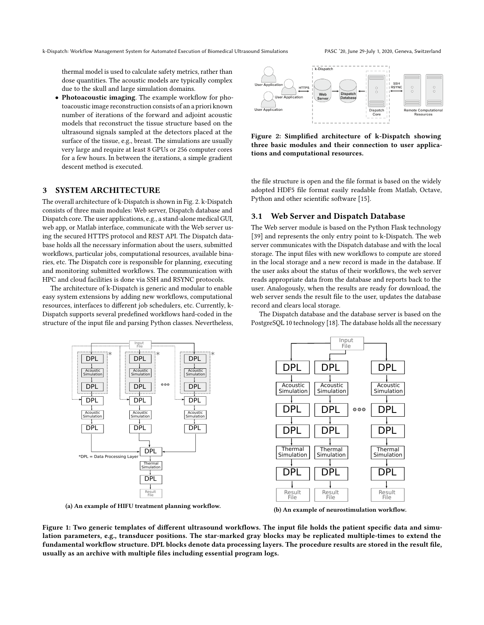thermal model is used to calculate safety metrics, rather than dose quantities. The acoustic models are typically complex due to the skull and large simulation domains.

• Photoacoustic imaging. The example workflow for photoacoustic image reconstruction consists of an a priori known number of iterations of the forward and adjoint acoustic models that reconstruct the tissue structure based on the ultrasound signals sampled at the detectors placed at the surface of the tissue, e.g., breast. The simulations are usually very large and require at least 8 GPUs or 256 computer cores for a few hours. In between the iterations, a simple gradient descent method is executed.

# 3 SYSTEM ARCHITECTURE

The overall architecture of k-Dispatch is shown in Fig. [2.](#page-2-1) k-Dispatch consists of three main modules: Web server, Dispatch database and Dispatch core. The user applications, e.g., a stand-alone medical GUI, web app, or Matlab interface, communicate with the Web server using the secured HTTPS protocol and REST API. The Dispatch database holds all the necessary information about the users, submitted workflows, particular jobs, computational resources, available binaries, etc. The Dispatch core is responsible for planning, executing and monitoring submitted workflows. The communication with HPC and cloud facilities is done via SSH and RSYNC protocols.

The architecture of k-Dispatch is generic and modular to enable easy system extensions by adding new workflows, computational resources, interfaces to different job schedulers, etc. Currently, k-Dispatch supports several predefined workflows hard-coded in the structure of the input file and parsing Python classes. Nevertheless,

<span id="page-2-1"></span>

Figure 2: Simplified architecture of k-Dispatch showing three basic modules and their connection to user applications and computational resources.

the file structure is open and the file format is based on the widely adopted HDF5 file format easily readable from Matlab, Octave, Python and other scientific software [\[15\]](#page-9-14).

#### 3.1 Web Server and Dispatch Database

The Web server module is based on the Python Flask technology [\[39\]](#page-9-15) and represents the only entry point to k-Dispatch. The web server communicates with the Dispatch database and with the local storage. The input files with new workflows to compute are stored in the local storage and a new record is made in the database. If the user asks about the status of their workflows, the web server reads appropriate data from the database and reports back to the user. Analogously, when the results are ready for download, the web server sends the result file to the user, updates the database record and clears local storage.

The Dispatch database and the database server is based on the PostgreSQL 10 technology [\[18\]](#page-9-16). The database holds all the necessary

<span id="page-2-0"></span>

(a) An example of HIFU treatment planning workflow.

(b) An example of neurostimulation workflow.

Figure 1: Two generic templates of different ultrasound workflows. The input file holds the patient specific data and simulation parameters, e.g., transducer positions. The star-marked gray blocks may be replicated multiple-times to extend the fundamental workflow structure. DPL blocks denote data processing layers. The procedure results are stored in the result file, usually as an archive with multiple files including essential program logs.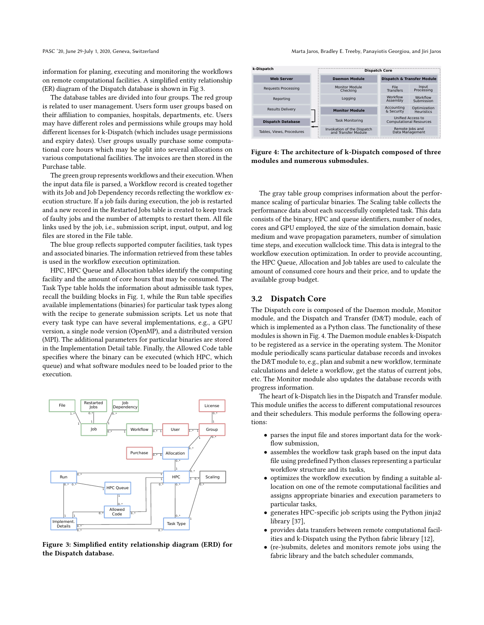PASC '20, June 29-July 1, 2020, Geneva, Switzerland Marta Jaros, Bradley E. Treeby, Panayiotis Georgiou, and Jiri Jaros

information for planing, executing and monitoring the workflows on remote computational facilities. A simplified entity relationship (ER) diagram of the Dispatch database is shown in Fig [3.](#page-3-0)

The database tables are divided into four groups. The red group is related to user management. Users form user groups based on their affiliation to companies, hospitals, departments, etc. Users may have different roles and permissions while groups may hold different licenses for k-Dispatch (which includes usage permissions and expiry dates). User groups usually purchase some computational core hours which may be split into several allocations on various computational facilities. The invoices are then stored in the Purchase table.

The green group represents workflows and their execution. When the input data file is parsed, a Workflow record is created together with its Job and Job Dependency records reflecting the workflow execution structure. If a job fails during execution, the job is restarted and a new record in the Restarted Jobs table is created to keep track of faulty jobs and the number of attempts to restart them. All file links used by the job, i.e., submission script, input, output, and log files are stored in the File table.

The blue group reflects supported computer facilities, task types and associated binaries. The information retrieved from these tables is used in the workflow execution optimization.

HPC, HPC Queue and Allocation tables identify the computing facility and the amount of core hours that may be consumed. The Task Type table holds the information about admissible task types, recall the building blocks in Fig. [1,](#page-2-0) while the Run table specifies available implementations (binaries) for particular task types along with the recipe to generate submission scripts. Let us note that every task type can have several implementations, e.g., a GPU version, a single node version (OpenMP), and a distributed version (MPI). The additional parameters for particular binaries are stored in the Implementation Detail table. Finally, the Allowed Code table specifies where the binary can be executed (which HPC, which queue) and what software modules need to be loaded prior to the execution.

<span id="page-3-0"></span>

Figure 3: Simplified entity relationship diagram (ERD) for the Dispatch database.

<span id="page-3-1"></span>

Figure 4: The architecture of k-Dispatch composed of three modules and numerous submodules.

The gray table group comprises information about the performance scaling of particular binaries. The Scaling table collects the performance data about each successfully completed task. This data consists of the binary, HPC and queue identifiers, number of nodes, cores and GPU employed, the size of the simulation domain, basic medium and wave propagation parameters, number of simulation time steps, and execution wallclock time. This data is integral to the workflow execution optimization. In order to provide accounting, the HPC Queue, Allocation and Job tables are used to calculate the amount of consumed core hours and their price, and to update the available group budget.

## 3.2 Dispatch Core

The Dispatch core is composed of the Daemon module, Monitor module, and the Dispatch and Transfer (D&T) module, each of which is implemented as a Python class. The functionality of these modules is shown in Fig. [4.](#page-3-1) The Daemon module enables k-Dispatch to be registered as a service in the operating system. The Monitor module periodically scans particular database records and invokes the D&T module to, e.g., plan and submit a new workflow, terminate calculations and delete a workflow, get the status of current jobs, etc. The Monitor module also updates the database records with progress information.

The heart of k-Dispatch lies in the Dispatch and Transfer module. This module unifies the access to different computational resources and their schedulers. This module performs the following operations:

- parses the input file and stores important data for the workflow submission,
- assembles the workflow task graph based on the input data file using predefined Python classes representing a particular workflow structure and its tasks,
- optimizes the workflow execution by finding a suitable allocation on one of the remote computational facilities and assigns appropriate binaries and execution parameters to particular tasks,
- generates HPC-specific job scripts using the Python jinja2 library [\[37\]](#page-9-17),
- provides data transfers between remote computational facilities and k-Dispatch using the Python fabric library [\[12\]](#page-9-18),
- (re-)submits, deletes and monitors remote jobs using the fabric library and the batch scheduler commands,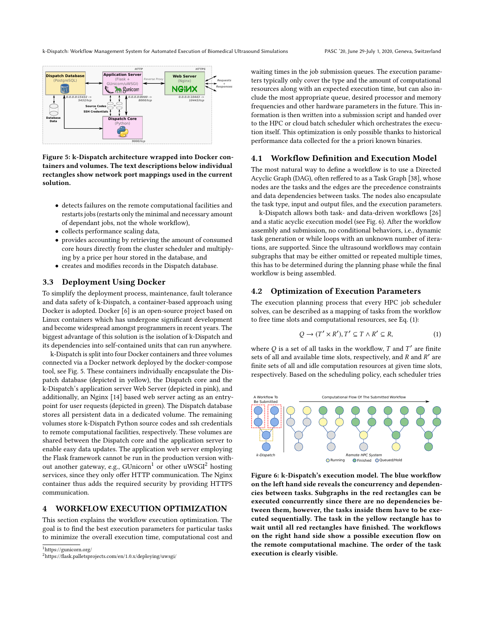k-Dispatch: Workflow Management System for Automated Execution of Biomedical Ultrasound Simulations PASC '20, June 29-July 1, 2020, Geneva, Switzerland

<span id="page-4-0"></span>

Figure 5: k-Dispatch architecture wrapped into Docker containers and volumes. The text descriptions below individual rectangles show network port mappings used in the current solution.

- detects failures on the remote computational facilities and restarts jobs (restarts only the minimal and necessary amount of dependant jobs, not the whole workflow),
- collects performance scaling data,
- provides accounting by retrieving the amount of consumed core hours directly from the cluster scheduler and multiplying by a price per hour stored in the database, and
- creates and modifies records in the Dispatch database.

## 3.3 Deployment Using Docker

To simplify the deployment process, maintenance, fault tolerance and data safety of k-Dispatch, a container-based approach using Docker is adopted. Docker [\[6\]](#page-9-19) is an open-source project based on Linux containers which has undergone significant development and become widespread amongst programmers in recent years. The biggest advantage of this solution is the isolation of k-Dispatch and its dependencies into self-contained units that can run anywhere.

k-Dispatch is split into four Docker containers and three volumes connected via a Docker network deployed by the docker-compose tool, see Fig. [5.](#page-4-0) These containers individually encapsulate the Dispatch database (depicted in yellow), the Dispatch core and the k-Dispatch's application server Web Server (depicted in pink), and additionally, an Nginx [\[14\]](#page-9-20) based web server acting as an entrypoint for user requests (depicted in green). The Dispatch database stores all persistent data in a dedicated volume. The remaining volumes store k-Dispatch Python source codes and ssh credentials to remote computational facilities, respectively. These volumes are shared between the Dispatch core and the application server to enable easy data updates. The application web server employing the Flask framework cannot be run in the production version without another gateway, e.g.,  $GUnicorn<sup>1</sup>$  $GUnicorn<sup>1</sup>$  $GUnicorn<sup>1</sup>$  or other uWSGI<sup>[2](#page-4-2)</sup> hosting services, since they only offer HTTP communication. The Nginx container thus adds the required security by providing HTTPS communication.

#### 4 WORKFLOW EXECUTION OPTIMIZATION

This section explains the workflow execution optimization. The goal is to find the best execution parameters for particular tasks to minimize the overall execution time, computational cost and

<span id="page-4-1"></span><sup>1</sup>https://gunicorn.org/

<span id="page-4-2"></span><sup>2</sup>https://flask.palletsprojects.com/en/1.0.x/deploying/uwsgi/

waiting times in the job submission queues. The execution parameters typically only cover the type and the amount of computational resources along with an expected execution time, but can also include the most appropriate queue, desired processor and memory frequencies and other hardware parameters in the future. This information is then written into a submission script and handed over to the HPC or cloud batch scheduler which orchestrates the execution itself. This optimization is only possible thanks to historical performance data collected for the a priori known binaries.

#### 4.1 Workflow Definition and Execution Model

The most natural way to define a workflow is to use a Directed Acyclic Graph (DAG), often reffered to as a Task Graph [\[38\]](#page-9-21), whose nodes are the tasks and the edges are the precedence constraints and data dependencies between tasks. The nodes also encapsulate the task type, input and output files, and the execution parameters.

k-Dispatch allows both task- and data-driven workflows [\[26\]](#page-9-22) and a static acyclic execution model (see Fig. [6\)](#page-4-3). After the workflow assembly and submission, no conditional behaviors, i.e., dynamic task generation or while loops with an unknown number of iterations, are supported. Since the ultrasound workflows may contain subgraphs that may be either omitted or repeated multiple times, this has to be determined during the planning phase while the final workflow is being assembled.

#### 4.2 Optimization of Execution Parameters

The execution planning process that every HPC job scheduler solves, can be described as a mapping of tasks from the workflow to free time slots and computational resources, see Eq. [\(1\)](#page-4-4):

<span id="page-4-4"></span>
$$
Q \to (T' \times R'), T' \subseteq T \wedge R' \subseteq R,\tag{1}
$$

where  $Q$  is a set of all tasks in the workflow,  $T$  and  $T'$  are finite sets of all and available time slots, respectively, and  $R$  and  $R'$  are finite sets of all and idle computation resources at given time slots, respectively. Based on the scheduling policy, each scheduler tries

<span id="page-4-3"></span>

Figure 6: k-Dispatch's execution model. The blue workflow on the left hand side reveals the concurrency and dependencies between tasks. Subgraphs in the red rectangles can be executed concurrently since there are no dependencies between them, however, the tasks inside them have to be executed sequentially. The task in the yellow rectangle has to wait until all red rectangles have finished. The workflows on the right hand side show a possible execution flow on the remote computational machine. The order of the task execution is clearly visible.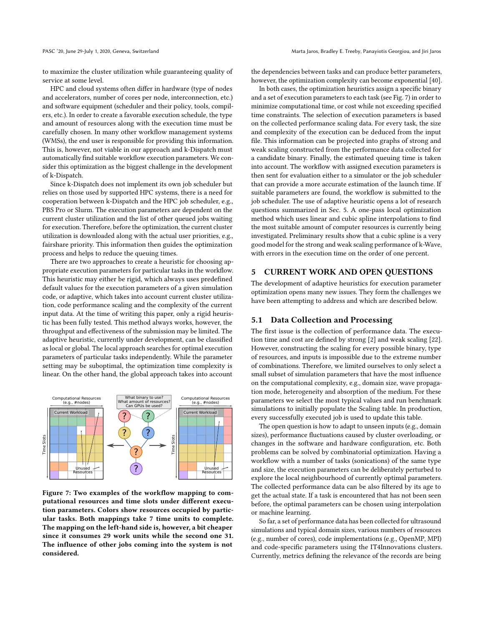to maximize the cluster utilization while guaranteeing quality of service at some level.

HPC and cloud systems often differ in hardware (type of nodes and accelerators, number of cores per node, interconnection, etc.) and software equipment (scheduler and their policy, tools, compilers, etc.). In order to create a favorable execution schedule, the type and amount of resources along with the execution time must be carefully chosen. In many other workflow management systems (WMSs), the end user is responsible for providing this information. This is, however, not viable in our approach and k-Dispatch must automatically find suitable workflow execution parameters. We consider this optimization as the biggest challenge in the development of k-Dispatch.

Since k-Dispatch does not implement its own job scheduler but relies on those used by supported HPC systems, there is a need for cooperation between k-Dispatch and the HPC job scheduler, e.g., PBS Pro or Slurm. The execution parameters are dependent on the current cluster utilization and the list of other queued jobs waiting for execution. Therefore, before the optimization, the current cluster utilization is downloaded along with the actual user priorities, e.g., fairshare priority. This information then guides the optimization process and helps to reduce the queuing times.

There are two approaches to create a heuristic for choosing appropriate execution parameters for particular tasks in the workflow. This heuristic may either be rigid, which always uses predefined default values for the execution parameters of a given simulation code, or adaptive, which takes into account current cluster utilization, code performance scaling and the complexity of the current input data. At the time of writing this paper, only a rigid heuristic has been fully tested. This method always works, however, the throughput and effectiveness of the submission may be limited. The adaptive heuristic, currently under development, can be classified as local or global. The local approach searches for optimal execution parameters of particular tasks independently. While the parameter setting may be suboptimal, the optimization time complexity is linear. On the other hand, the global approach takes into account

<span id="page-5-0"></span>

Figure 7: Two examples of the workflow mapping to computational resources and time slots under different execution parameters. Colors show resources occupied by particular tasks. Both mappings take 7 time units to complete. The mapping on the left-hand side is, however, a bit cheaper since it consumes 29 work units while the second one 31. The influence of other jobs coming into the system is not considered.

the dependencies between tasks and can produce better parameters, however, the optimization complexity can become exponential [\[40\]](#page-9-23).

In both cases, the optimization heuristics assign a specific binary and a set of execution parameters to each task (see Fig. [7\)](#page-5-0) in order to minimize computational time, or cost while not exceeding specified time constraints. The selection of execution parameters is based on the collected performance scaling data. For every task, the size and complexity of the execution can be deduced from the input file. This information can be projected into graphs of strong and weak scaling constructed from the performance data collected for a candidate binary. Finally, the estimated queuing time is taken into account. The workflow with assigned execution parameters is then sent for evaluation either to a simulator or the job scheduler that can provide a more accurate estimation of the launch time. If suitable parameters are found, the workflow is submitted to the job scheduler. The use of adaptive heuristic opens a lot of research questions summarized in Sec. [5.](#page-5-1) A one-pass local optimization method which uses linear and cubic spline interpolations to find the most suitable amount of computer resources is currently being investigated. Preliminary results show that a cubic spline is a very good model for the strong and weak scaling performance of k-Wave, with errors in the execution time on the order of one percent.

## <span id="page-5-1"></span>5 CURRENT WORK AND OPEN QUESTIONS

The development of adaptive heuristics for execution parameter optimization opens many new issues. They form the challenges we have been attempting to address and which are described below.

#### 5.1 Data Collection and Processing

The first issue is the collection of performance data. The execution time and cost are defined by strong [\[2\]](#page-9-24) and weak scaling [\[22\]](#page-9-25). However, constructing the scaling for every possible binary, type of resources, and inputs is impossible due to the extreme number of combinations. Therefore, we limited ourselves to only select a small subset of simulation parameters that have the most influence on the computational complexity, e.g., domain size, wave propagation mode, heterogeneity and absorption of the medium. For these parameters we select the most typical values and run benchmark simulations to initially populate the Scaling table. In production, every successfully executed job is used to update this table.

The open question is how to adapt to unseen inputs (e.g., domain sizes), performance fluctuations caused by cluster overloading, or changes in the software and hardware configuration, etc. Both problems can be solved by combinatorial optimization. Having a workflow with a number of tasks (sonications) of the same type and size, the execution parameters can be deliberately perturbed to explore the local neighbourhood of currently optimal parameters. The collected performance data can be also filtered by its age to get the actual state. If a task is encountered that has not been seen before, the optimal parameters can be chosen using interpolation or machine learning.

So far, a set of performance data has been collected for ultrasound simulations and typical domain sizes, various numbers of resources (e.g., number of cores), code implementations (e.g., OpenMP, MPI) and code-specific parameters using the IT4Innovations clusters. Currently, metrics defining the relevance of the records are being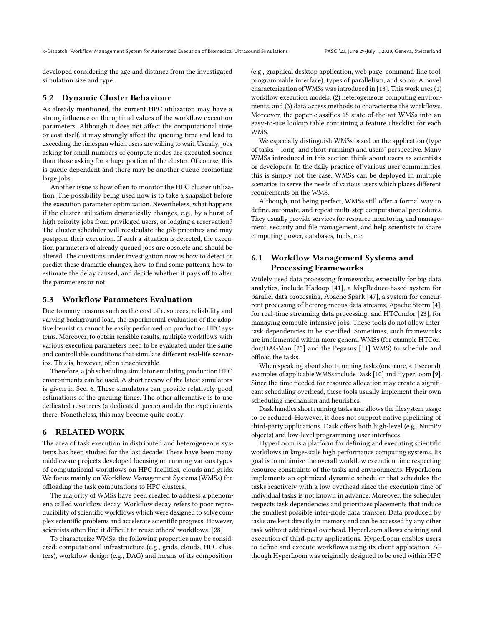k-Dispatch: Workflow Management System for Automated Execution of Biomedical Ultrasound Simulations PASC '20, June 29-July 1, 2020, Geneva, Switzerland

developed considering the age and distance from the investigated simulation size and type.

#### 5.2 Dynamic Cluster Behaviour

As already mentioned, the current HPC utilization may have a strong influence on the optimal values of the workflow execution parameters. Although it does not affect the computational time or cost itself, it may strongly affect the queuing time and lead to exceeding the timespan which users are willing to wait. Usually, jobs asking for small numbers of compute nodes are executed sooner than those asking for a huge portion of the cluster. Of course, this is queue dependent and there may be another queue promoting large jobs.

Another issue is how often to monitor the HPC cluster utilization. The possibility being used now is to take a snapshot before the execution parameter optimization. Nevertheless, what happens if the cluster utilization dramatically changes, e.g., by a burst of high priority jobs from privileged users, or lodging a reservation? The cluster scheduler will recalculate the job priorities and may postpone their execution. If such a situation is detected, the execution parameters of already queued jobs are obsolete and should be altered. The questions under investigation now is how to detect or predict these dramatic changes, how to find some patterns, how to estimate the delay caused, and decide whether it pays off to alter the parameters or not.

#### 5.3 Workflow Parameters Evaluation

Due to many reasons such as the cost of resources, reliability and varying background load, the experimental evaluation of the adaptive heuristics cannot be easily performed on production HPC systems. Moreover, to obtain sensible results, multiple workflows with various execution parameters need to be evaluated under the same and controllable conditions that simulate different real-life scenarios. This is, however, often unachievable.

Therefore, a job scheduling simulator emulating production HPC environments can be used. A short review of the latest simulators is given in Sec. [6.](#page-6-0) These simulators can provide relatively good estimations of the queuing times. The other alternative is to use dedicated resources (a dedicated queue) and do the experiments there. Nonetheless, this may become quite costly.

## <span id="page-6-0"></span>6 RELATED WORK

The area of task execution in distributed and heterogeneous systems has been studied for the last decade. There have been many middleware projects developed focusing on running various types of computational workflows on HPC facilities, clouds and grids. We focus mainly on Workflow Management Systems (WMSs) for offloading the task computations to HPC clusters.

The majority of WMSs have been created to address a phenomena called workflow decay. Workflow decay refers to poor reproducibility of scientific workflows which were designed to solve complex scientific problems and accelerate scientific progress. However, scientists often find it difficult to reuse others' workflows. [\[28\]](#page-9-26)

To characterize WMSs, the following properties may be considered: computational infrastructure (e.g., grids, clouds, HPC clusters), workflow design (e.g., DAG) and means of its composition

(e.g., graphical desktop application, web page, command-line tool, programmable interface), types of parallelism, and so on. A novel characterization of WMSs was introduced in [\[13\]](#page-9-27). This work uses (1) workflow execution models, (2) heterogeneous computing environments, and (3) data access methods to characterize the workflows. Moreover, the paper classifies 15 state-of-the-art WMSs into an easy-to-use lookup table containing a feature checklist for each WMS.

We especially distinguish WMSs based on the application (type of tasks – long- and short-running) and users' perspective. Many WMSs introduced in this section think about users as scientists or developers. In the daily practice of various user communities, this is simply not the case. WMSs can be deployed in multiple scenarios to serve the needs of various users which places different requirements on the WMS.

Although, not being perfect, WMSs still offer a formal way to define, automate, and repeat multi-step computational procedures. They usually provide services for resource monitoring and management, security and file management, and help scientists to share computing power, databases, tools, etc.

# 6.1 Workflow Management Systems and Processing Frameworks

Widely used data processing frameworks, especially for big data analytics, include Hadoop [\[41\]](#page-9-28), a MapReduce-based system for parallel data processing, Apache Spark [\[47\]](#page-9-29), a system for concurrent processing of heterogeneous data streams, Apache Storm [\[4\]](#page-9-30), for real-time streaming data processing, and HTCondor [\[23\]](#page-9-31), for managing compute-intensive jobs. These tools do not allow intertask dependencies to be specified. Sometimes, such frameworks are implemented within more general WMSs (for example HTCondor/DAGMan [\[23\]](#page-9-31) and the Pegasus [\[11\]](#page-9-32) WMS) to schedule and offload the tasks.

When speaking about short-running tasks (one-core, < 1 second), examples of applicable WMSs include Dask [\[10\]](#page-9-33) and HyperLoom [\[9\]](#page-9-34). Since the time needed for resource allocation may create a significant scheduling overhead, these tools usually implement their own scheduling mechanism and heuristics.

Dask handles short running tasks and allows the filesystem usage to be reduced. However, it does not support native pipelining of third-party applications. Dask offers both high-level (e.g., NumPy objects) and low-level programming user interfaces.

HyperLoom is a platform for defining and executing scientific workflows in large-scale high performance computing systems. Its goal is to minimize the overall workflow execution time respecting resource constraints of the tasks and environments. HyperLoom implements an optimized dynamic scheduler that schedules the tasks reactively with a low overhead since the execution time of individual tasks is not known in advance. Moreover, the scheduler respects task dependencies and prioritizes placements that induce the smallest possible inter-node data transfer. Data produced by tasks are kept directly in memory and can be accessed by any other task without additional overhead. HyperLoom allows chaining and execution of third-party applications. HyperLoom enables users to define and execute workflows using its client application. Although HyperLoom was originally designed to be used within HPC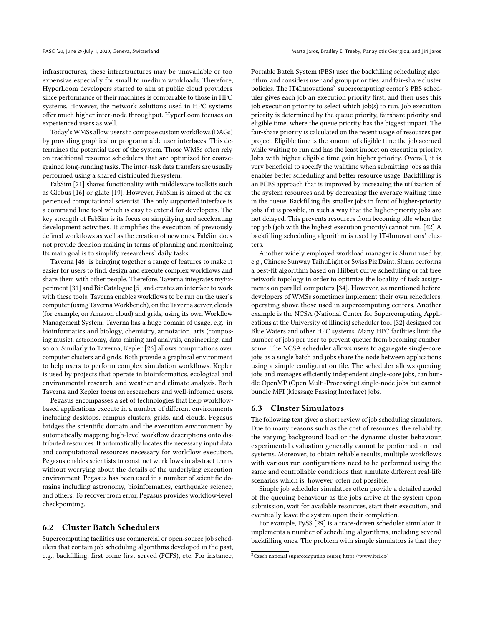infrastructures, these infrastructures may be unavailable or too expensive especially for small to medium workloads. Therefore, HyperLoom developers started to aim at public cloud providers since performance of their machines is comparable to those in HPC systems. However, the network solutions used in HPC systems offer much higher inter-node throughput. HyperLoom focuses on experienced users as well.

Today's WMSs allow users to compose custom workflows (DAGs) by providing graphical or programmable user interfaces. This determines the potential user of the system. Those WMSs often rely on traditional resource schedulers that are optimized for coarsegrained long-running tasks. The inter-task data transfers are usually performed using a shared distributed filesystem.

FabSim [\[21\]](#page-9-35) shares functionality with middleware toolkits such as Globus [\[16\]](#page-9-36) or gLite [\[19\]](#page-9-37). However, FabSim is aimed at the experienced computational scientist. The only supported interface is a command line tool which is easy to extend for developers. The key strength of FabSim is its focus on simplifying and accelerating development activities. It simplifies the execution of previously defined workflows as well as the creation of new ones. FabSim does not provide decision-making in terms of planning and monitoring. Its main goal is to simplify researchers' daily tasks.

Taverna [\[46\]](#page-9-38) is bringing together a range of features to make it easier for users to find, design and execute complex workflows and share them with other people. Therefore, Taverna integrates myExperiment [\[31\]](#page-9-39) and BioCatalogue [\[5\]](#page-9-40) and creates an interface to work with these tools. Taverna enables workflows to be run on the user's computer (using Taverna Workbench), on the Taverna server, clouds (for example, on Amazon cloud) and grids, using its own Workflow Management System. Taverna has a huge domain of usage, e.g., in bioinformatics and biology, chemistry, annotation, arts (composing music), astronomy, data mining and analysis, engineering, and so on. Similarly to Taverna, Kepler [\[26\]](#page-9-22) allows computations over computer clusters and grids. Both provide a graphical environment to help users to perform complex simulation workflows. Kepler is used by projects that operate in bioinformatics, ecological and environmental research, and weather and climate analysis. Both Taverna and Kepler focus on researchers and well-informed users.

Pegasus encompasses a set of technologies that help workflowbased applications execute in a number of different environments including desktops, campus clusters, grids, and clouds. Pegasus bridges the scientific domain and the execution environment by automatically mapping high-level workflow descriptions onto distributed resources. It automatically locates the necessary input data and computational resources necessary for workflow execution. Pegasus enables scientists to construct workflows in abstract terms without worrying about the details of the underlying execution environment. Pegasus has been used in a number of scientific domains including astronomy, bioinformatics, earthquake science, and others. To recover from error, Pegasus provides workflow-level checkpointing.

#### 6.2 Cluster Batch Schedulers

Supercomputing facilities use commercial or open-source job schedulers that contain job scheduling algorithms developed in the past, e.g., backfilling, first come first served (FCFS), etc. For instance,

Portable Batch System (PBS) uses the backfilling scheduling algorithm, and considers user and group priorities, and fair-share cluster policies. The IT4Innovations $^3$  $^3$  supercomputing center's PBS scheduler gives each job an execution priority first, and then uses this job execution priority to select which job(s) to run. Job execution priority is determined by the queue priority, fairshare priority and eligible time, where the queue priority has the biggest impact. The fair-share priority is calculated on the recent usage of resources per project. Eligible time is the amount of eligible time the job accrued while waiting to run and has the least impact on execution priority. Jobs with higher eligible time gain higher priority. Overall, it is very beneficial to specify the walltime when submitting jobs as this enables better scheduling and better resource usage. Backfilling is an FCFS approach that is improved by increasing the utilization of the system resources and by decreasing the average waiting time in the queue. Backfilling fits smaller jobs in front of higher-priority jobs if it is possible, in such a way that the higher-priority jobs are not delayed. This prevents resources from becoming idle when the top job (job with the highest execution priority) cannot run. [\[42\]](#page-9-41) A backfilling scheduling algorithm is used by IT4Innovations' clusters.

Another widely employed workload manager is Slurm used by, e.g., Chinese Sunway TaihuLight or Swiss Piz Daint. Slurm performs a best-fit algorithm based on Hilbert curve scheduling or fat tree network topology in order to optimize the locality of task assignments on parallel computers [\[34\]](#page-9-42). However, as mentioned before, developers of WMSs sometimes implement their own schedulers, operating above those used in supercomputing centers. Another example is the NCSA (National Center for Supercomputing Applications at the University of Illinois) scheduler tool [\[32\]](#page-9-43) designed for Blue Waters and other HPC systems. Many HPC facilities limit the number of jobs per user to prevent queues from becoming cumbersome. The NCSA scheduler allows users to aggregate single-core jobs as a single batch and jobs share the node between applications using a simple configuration file. The scheduler allows queuing jobs and manages efficiently independent single-core jobs, can bundle OpenMP (Open Multi-Processing) single-node jobs but cannot bundle MPI (Message Passing Interface) jobs.

## 6.3 Cluster Simulators

The following text gives a short review of job scheduling simulators. Due to many reasons such as the cost of resources, the reliability, the varying background load or the dynamic cluster behaviour, experimental evaluation generally cannot be performed on real systems. Moreover, to obtain reliable results, multiple workflows with various run configurations need to be performed using the same and controllable conditions that simulate different real-life scenarios which is, however, often not possible.

Simple job scheduler simulators often provide a detailed model of the queuing behaviour as the jobs arrive at the system upon submission, wait for available resources, start their execution, and eventually leave the system upon their completion.

For example, PySS [\[29\]](#page-9-44) is a trace-driven scheduler simulator. It implements a number of scheduling algorithms, including several backfilling ones. The problem with simple simulators is that they

<span id="page-7-0"></span><sup>3</sup>Czech national supercomputing center, https://www.it4i.cz/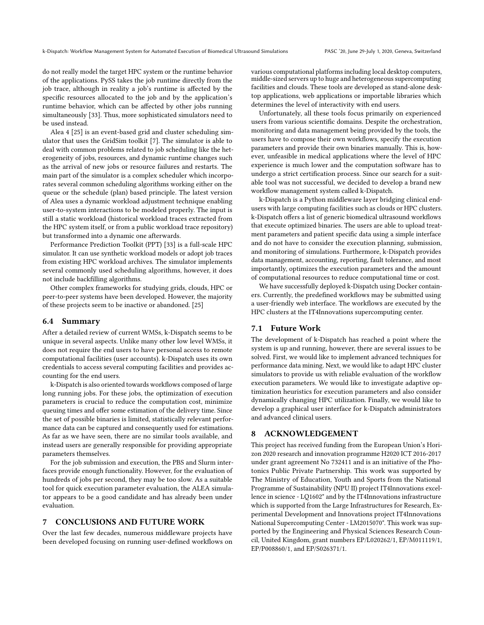do not really model the target HPC system or the runtime behavior of the applications. PySS takes the job runtime directly from the job trace, although in reality a job's runtime is affected by the specific resources allocated to the job and by the application's runtime behavior, which can be affected by other jobs running simultaneously [\[33\]](#page-9-45). Thus, more sophisticated simulators need to be used instead.

Alea 4 [\[25\]](#page-9-46) is an event-based grid and cluster scheduling simulator that uses the GridSim toolkit [\[7\]](#page-9-47). The simulator is able to deal with common problems related to job scheduling like the heterogeneity of jobs, resources, and dynamic runtime changes such as the arrival of new jobs or resource failures and restarts. The main part of the simulator is a complex scheduler which incorporates several common scheduling algorithms working either on the queue or the schedule (plan) based principle. The latest version of Alea uses a dynamic workload adjustment technique enabling user-to-system interactions to be modeled properly. The input is still a static workload (historical workload traces extracted from the HPC system itself, or from a public workload trace repository) but transformed into a dynamic one afterwards.

Performance Prediction Toolkit (PPT) [\[33\]](#page-9-45) is a full-scale HPC simulator. It can use synthetic workload models or adopt job traces from existing HPC workload archives. The simulator implements several commonly used scheduling algorithms, however, it does not include backfilling algorithms.

Other complex frameworks for studying grids, clouds, HPC or peer-to-peer systems have been developed. However, the majority of these projects seem to be inactive or abandoned. [\[25\]](#page-9-46)

#### 6.4 Summary

After a detailed review of current WMSs, k-Dispatch seems to be unique in several aspects. Unlike many other low level WMSs, it does not require the end users to have personal access to remote computational facilities (user accounts). k-Dispatch uses its own credentials to access several computing facilities and provides accounting for the end users.

k-Dispatch is also oriented towards workflows composed of large long running jobs. For these jobs, the optimization of execution parameters is crucial to reduce the computation cost, minimize queuing times and offer some estimation of the delivery time. Since the set of possible binaries is limited, statistically relevant performance data can be captured and consequently used for estimations. As far as we have seen, there are no similar tools available, and instead users are generally responsible for providing appropriate parameters themselves.

For the job submission and execution, the PBS and Slurm interfaces provide enough functionality. However, for the evaluation of hundreds of jobs per second, they may be too slow. As a suitable tool for quick execution parameter evaluation, the ALEA simulator appears to be a good candidate and has already been under evaluation.

## 7 CONCLUSIONS AND FUTURE WORK

Over the last few decades, numerous middleware projects have been developed focusing on running user-defined workflows on various computational platforms including local desktop computers, middle-sized servers up to huge and heterogeneous supercomputing facilities and clouds. These tools are developed as stand-alone desktop applications, web applications or importable libraries which determines the level of interactivity with end users.

Unfortunately, all these tools focus primarily on experienced users from various scientific domains. Despite the orchestration, monitoring and data management being provided by the tools, the users have to compose their own workflows, specify the execution parameters and provide their own binaries manually. This is, however, unfeasible in medical applications where the level of HPC experience is much lower and the computation software has to undergo a strict certification process. Since our search for a suitable tool was not successful, we decided to develop a brand new workflow management system called k-Dispatch.

k-Dispatch is a Python middleware layer bridging clinical endusers with large computing facilities such as clouds or HPC clusters. k-Dispatch offers a list of generic biomedical ultrasound workflows that execute optimized binaries. The users are able to upload treatment parameters and patient specific data using a simple interface and do not have to consider the execution planning, submission, and monitoring of simulations. Furthermore, k-Dispatch provides data management, accounting, reporting, fault tolerance, and most importantly, optimizes the execution parameters and the amount of computational resources to reduce computational time or cost.

We have successfully deployed k-Dispatch using Docker containers. Currently, the predefined workflows may be submitted using a user-friendly web interface. The workflows are executed by the HPC clusters at the IT4Innovations supercomputing center.

#### 7.1 Future Work

The development of k-Dispatch has reached a point where the system is up and running, however, there are several issues to be solved. First, we would like to implement advanced techniques for performance data mining. Next, we would like to adapt HPC cluster simulators to provide us with reliable evaluation of the workflow execution parameters. We would like to investigate adaptive optimization heuristics for execution parameters and also consider dynamically changing HPC utilization. Finally, we would like to develop a graphical user interface for k-Dispatch administrators and advanced clinical users.

# 8 ACKNOWLEDGEMENT

This project has received funding from the European Union's Horizon 2020 research and innovation programme H2020 ICT 2016-2017 under grant agreement No 732411 and is an initiative of the Photonics Public Private Partnership. This work was supported by The Ministry of Education, Youth and Sports from the National Programme of Sustainability (NPU II) project IT4Innovations excellence in science - LQ1602" and by the IT4Innovations infrastructure which is supported from the Large Infrastructures for Research, Experimental Development and Innovations project IT4Innovations National Supercomputing Center - LM2015070". This work was supported by the Engineering and Physical Sciences Research Council, United Kingdom, grant numbers EP/L020262/1, EP/M011119/1, EP/P008860/1, and EP/S026371/1.